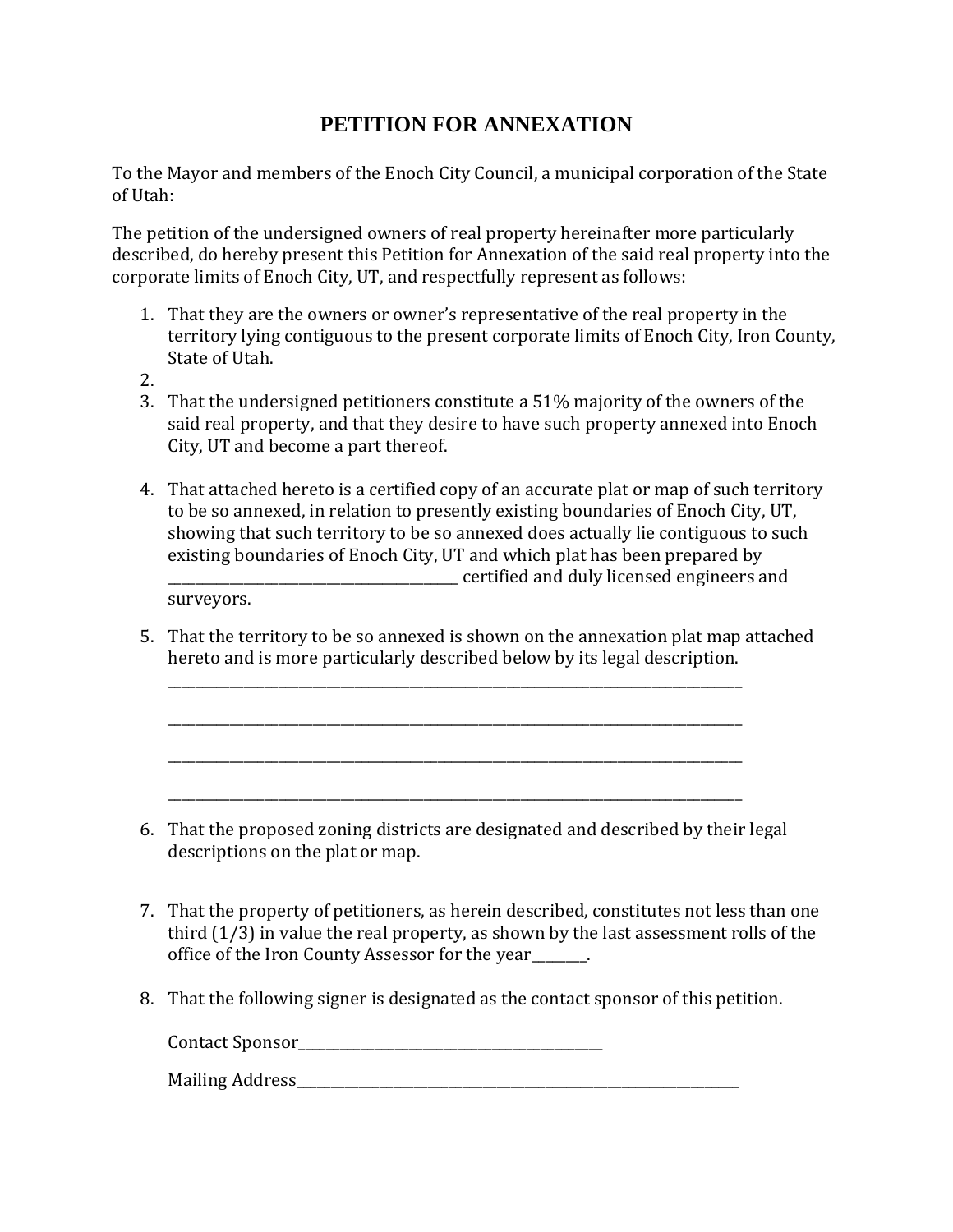## **PETITION FOR ANNEXATION**

To the Mayor and members of the Enoch City Council, a municipal corporation of the State of Utah:

The petition of the undersigned owners of real property hereinafter more particularly described, do hereby present this Petition for Annexation of the said real property into the corporate limits of Enoch City, UT, and respectfully represent as follows:

- 1. That they are the owners or owner's representative of the real property in the territory lying contiguous to the present corporate limits of Enoch City, Iron County, State of Utah.
- 2.
- 3. That the undersigned petitioners constitute a 51% majority of the owners of the said real property, and that they desire to have such property annexed into Enoch City, UT and become a part thereof.
- 4. That attached hereto is a certified copy of an accurate plat or map of such territory to be so annexed, in relation to presently existing boundaries of Enoch City, UT, showing that such territory to be so annexed does actually lie contiguous to such existing boundaries of Enoch City, UT and which plat has been prepared by \_\_\_\_\_\_\_\_\_\_\_\_\_\_\_\_\_\_\_\_\_\_\_\_\_\_\_\_\_\_\_\_\_\_\_\_\_\_\_\_\_\_ certified and duly licensed engineers and

surveyors.

5. That the territory to be so annexed is shown on the annexation plat map attached hereto and is more particularly described below by its legal description.

\_\_\_\_\_\_\_\_\_\_\_\_\_\_\_\_\_\_\_\_\_\_\_\_\_\_\_\_\_\_\_\_\_\_\_\_\_\_\_\_\_\_\_\_\_\_\_\_\_\_\_\_\_\_\_\_\_\_\_\_\_\_\_\_\_\_\_\_\_\_\_\_\_\_\_\_\_\_\_\_\_\_\_

\_\_\_\_\_\_\_\_\_\_\_\_\_\_\_\_\_\_\_\_\_\_\_\_\_\_\_\_\_\_\_\_\_\_\_\_\_\_\_\_\_\_\_\_\_\_\_\_\_\_\_\_\_\_\_\_\_\_\_\_\_\_\_\_\_\_\_\_\_\_\_\_\_\_\_\_\_\_\_\_\_\_\_

\_\_\_\_\_\_\_\_\_\_\_\_\_\_\_\_\_\_\_\_\_\_\_\_\_\_\_\_\_\_\_\_\_\_\_\_\_\_\_\_\_\_\_\_\_\_\_\_\_\_\_\_\_\_\_\_\_\_\_\_\_\_\_\_\_\_\_\_\_\_\_\_\_\_\_\_\_\_\_\_\_\_\_

\_\_\_\_\_\_\_\_\_\_\_\_\_\_\_\_\_\_\_\_\_\_\_\_\_\_\_\_\_\_\_\_\_\_\_\_\_\_\_\_\_\_\_\_\_\_\_\_\_\_\_\_\_\_\_\_\_\_\_\_\_\_\_\_\_\_\_\_\_\_\_\_\_\_\_\_\_\_\_\_\_\_\_

- 6. That the proposed zoning districts are designated and described by their legal descriptions on the plat or map.
- 7. That the property of petitioners, as herein described, constitutes not less than one third (1/3) in value the real property, as shown by the last assessment rolls of the office of the Iron County Assessor for the year\_\_\_\_\_\_\_\_.
- 8. That the following signer is designated as the contact sponsor of this petition.

Contact Sponsor\_\_\_\_\_\_\_\_\_\_\_\_\_\_\_\_\_\_\_\_\_\_\_\_\_\_\_\_\_\_\_\_\_\_\_\_\_\_\_\_\_\_\_\_

Mailing Address